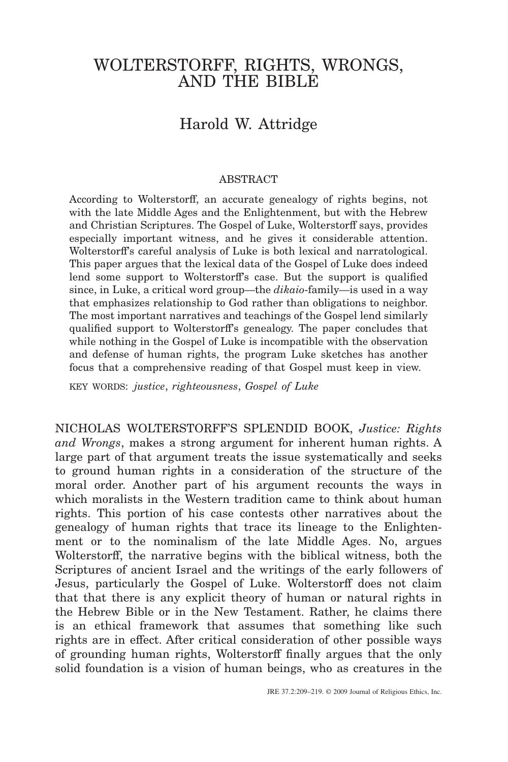## WOLTERSTORFF, RIGHTS, WRONGS, AND THE BIBLE

## Harold W. Attridge

## ABSTRACT

According to Wolterstorff, an accurate genealogy of rights begins, not with the late Middle Ages and the Enlightenment, but with the Hebrew and Christian Scriptures. The Gospel of Luke, Wolterstorff says, provides especially important witness, and he gives it considerable attention. Wolterstorff's careful analysis of Luke is both lexical and narratological. This paper argues that the lexical data of the Gospel of Luke does indeed lend some support to Wolterstorff's case. But the support is qualified since, in Luke, a critical word group—the *dikaio*-family—is used in a way that emphasizes relationship to God rather than obligations to neighbor. The most important narratives and teachings of the Gospel lend similarly qualified support to Wolterstorff's genealogy. The paper concludes that while nothing in the Gospel of Luke is incompatible with the observation and defense of human rights, the program Luke sketches has another focus that a comprehensive reading of that Gospel must keep in view.

KEY WORDS: *justice*, *righteousness*, *Gospel of Luke*

NICHOLAS WOLTERSTORFF'S SPLENDID BOOK, *Justice: Rights and Wrongs*, makes a strong argument for inherent human rights. A large part of that argument treats the issue systematically and seeks to ground human rights in a consideration of the structure of the moral order. Another part of his argument recounts the ways in which moralists in the Western tradition came to think about human rights. This portion of his case contests other narratives about the genealogy of human rights that trace its lineage to the Enlightenment or to the nominalism of the late Middle Ages. No, argues Wolterstorff, the narrative begins with the biblical witness, both the Scriptures of ancient Israel and the writings of the early followers of Jesus, particularly the Gospel of Luke. Wolterstorff does not claim that that there is any explicit theory of human or natural rights in the Hebrew Bible or in the New Testament. Rather, he claims there is an ethical framework that assumes that something like such rights are in effect. After critical consideration of other possible ways of grounding human rights, Wolterstorff finally argues that the only solid foundation is a vision of human beings, who as creatures in the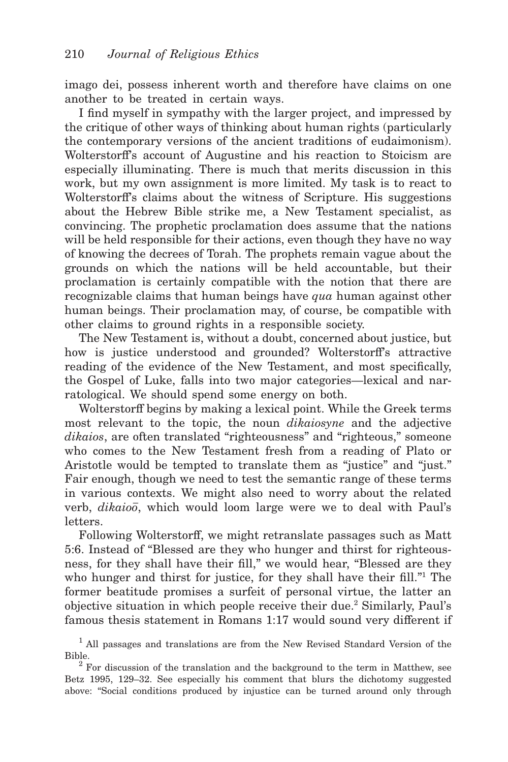imago dei, possess inherent worth and therefore have claims on one another to be treated in certain ways.

I find myself in sympathy with the larger project, and impressed by the critique of other ways of thinking about human rights (particularly the contemporary versions of the ancient traditions of eudaimonism). Wolterstorff's account of Augustine and his reaction to Stoicism are especially illuminating. There is much that merits discussion in this work, but my own assignment is more limited. My task is to react to Wolterstorff's claims about the witness of Scripture. His suggestions about the Hebrew Bible strike me, a New Testament specialist, as convincing. The prophetic proclamation does assume that the nations will be held responsible for their actions, even though they have no way of knowing the decrees of Torah. The prophets remain vague about the grounds on which the nations will be held accountable, but their proclamation is certainly compatible with the notion that there are recognizable claims that human beings have *qua* human against other human beings. Their proclamation may, of course, be compatible with other claims to ground rights in a responsible society.

The New Testament is, without a doubt, concerned about justice, but how is justice understood and grounded? Wolterstorff's attractive reading of the evidence of the New Testament, and most specifically, the Gospel of Luke, falls into two major categories—lexical and narratological. We should spend some energy on both.

Wolterstorff begins by making a lexical point. While the Greek terms most relevant to the topic, the noun *dikaiosyne* and the adjective *dikaios*, are often translated "righteousness" and "righteous," someone who comes to the New Testament fresh from a reading of Plato or Aristotle would be tempted to translate them as "justice" and "just." Fair enough, though we need to test the semantic range of these terms in various contexts. We might also need to worry about the related verb, *dikaioo¯*, which would loom large were we to deal with Paul's letters.

Following Wolterstorff, we might retranslate passages such as Matt 5:6. Instead of "Blessed are they who hunger and thirst for righteousness, for they shall have their fill," we would hear, "Blessed are they who hunger and thirst for justice, for they shall have their fill."<sup>1</sup> The former beatitude promises a surfeit of personal virtue, the latter an objective situation in which people receive their due.2 Similarly, Paul's famous thesis statement in Romans 1:17 would sound very different if

<sup>&</sup>lt;sup>1</sup> All passages and translations are from the New Revised Standard Version of the Bible.  $\frac{2}{3}$  For discussion of the translation and the background to the term in Matthew, see

Betz 1995, 129–32. See especially his comment that blurs the dichotomy suggested above: "Social conditions produced by injustice can be turned around only through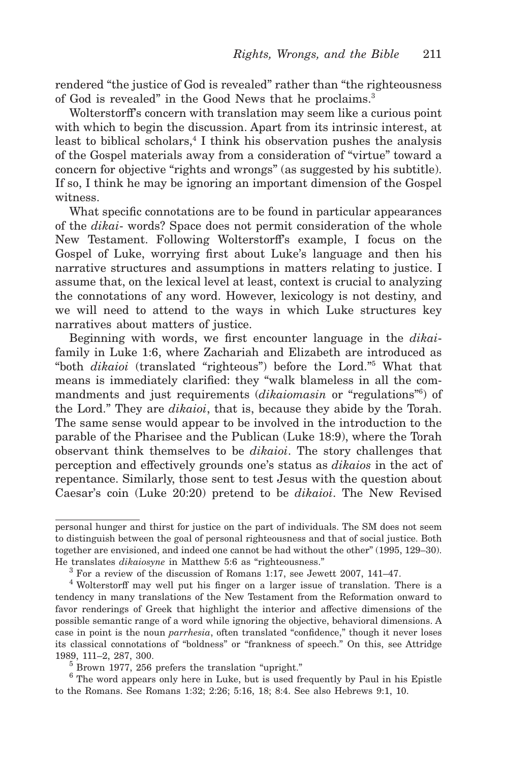rendered "the justice of God is revealed" rather than "the righteousness of God is revealed" in the Good News that he proclaims.<sup>3</sup>

Wolterstorff's concern with translation may seem like a curious point with which to begin the discussion. Apart from its intrinsic interest, at least to biblical scholars, $4$  I think his observation pushes the analysis of the Gospel materials away from a consideration of "virtue" toward a concern for objective "rights and wrongs" (as suggested by his subtitle). If so, I think he may be ignoring an important dimension of the Gospel witness.

What specific connotations are to be found in particular appearances of the *dikai*- words? Space does not permit consideration of the whole New Testament. Following Wolterstorff's example, I focus on the Gospel of Luke, worrying first about Luke's language and then his narrative structures and assumptions in matters relating to justice. I assume that, on the lexical level at least, context is crucial to analyzing the connotations of any word. However, lexicology is not destiny, and we will need to attend to the ways in which Luke structures key narratives about matters of justice.

Beginning with words, we first encounter language in the *dikai*family in Luke 1:6, where Zachariah and Elizabeth are introduced as "both *dikaioi* (translated "righteous") before the Lord."5 What that means is immediately clarified: they "walk blameless in all the commandments and just requirements (*dikaiomasin* or "regulations"6 ) of the Lord." They are *dikaioi*, that is, because they abide by the Torah. The same sense would appear to be involved in the introduction to the parable of the Pharisee and the Publican (Luke 18:9), where the Torah observant think themselves to be *dikaioi*. The story challenges that perception and effectively grounds one's status as *dikaios* in the act of repentance. Similarly, those sent to test Jesus with the question about Caesar's coin (Luke 20:20) pretend to be *dikaioi*. The New Revised

personal hunger and thirst for justice on the part of individuals. The SM does not seem to distinguish between the goal of personal righteousness and that of social justice. Both together are envisioned, and indeed one cannot be had without the other" (1995, 129–30). He translates *dikaiosyne* in Matthew 5:6 as "righteousness." <sup>3</sup> For a review of the discussion of Romans 1:17, see Jewett 2007, 141–47.

<sup>4</sup> Wolterstorff may well put his finger on a larger issue of translation. There is a tendency in many translations of the New Testament from the Reformation onward to favor renderings of Greek that highlight the interior and affective dimensions of the possible semantic range of a word while ignoring the objective, behavioral dimensions. A case in point is the noun *parrhesia*, often translated "confidence," though it never loses its classical connotations of "boldness" or "frankness of speech." On this, see Attridge 1989, 111–2, 287, 300.<br> $5$  Brown 1977, 256 prefers the translation "upright."

<sup>&</sup>lt;sup>6</sup> The word appears only here in Luke, but is used frequently by Paul in his Epistle to the Romans. See Romans 1:32; 2:26; 5:16, 18; 8:4. See also Hebrews 9:1, 10.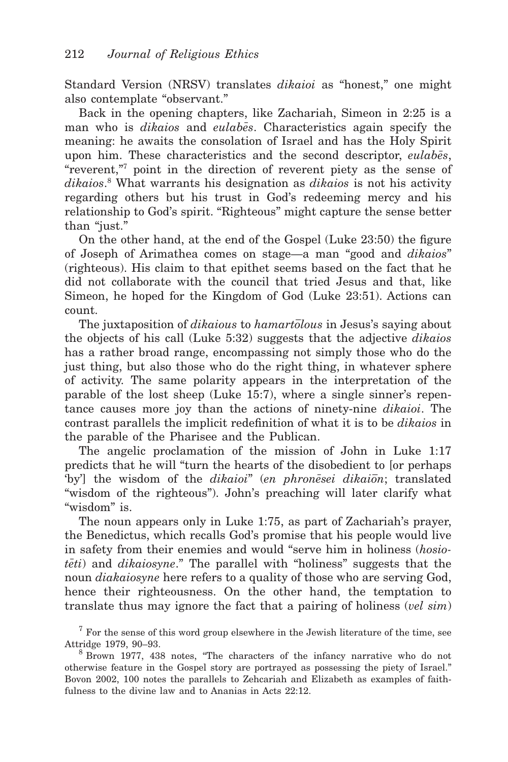Standard Version (NRSV) translates *dikaioi* as "honest," one might also contemplate "observant."

Back in the opening chapters, like Zachariah, Simeon in 2:25 is a man who is *dikaios* and *eulabes*. Characteristics again specify the meaning: he awaits the consolation of Israel and has the Holy Spirit upon him. These characteristics and the second descriptor, *eulabes*, "reverent,"7 point in the direction of reverent piety as the sense of *dikaios*. <sup>8</sup> What warrants his designation as *dikaios* is not his activity regarding others but his trust in God's redeeming mercy and his relationship to God's spirit. "Righteous" might capture the sense better than "just."

On the other hand, at the end of the Gospel (Luke 23:50) the figure of Joseph of Arimathea comes on stage—a man "good and *dikaios*" (righteous). His claim to that epithet seems based on the fact that he did not collaborate with the council that tried Jesus and that, like Simeon, he hoped for the Kingdom of God (Luke 23:51). Actions can count.

The juxtaposition of *dikaious* to *hamartolous* in Jesus's saying about the objects of his call (Luke 5:32) suggests that the adjective *dikaios* has a rather broad range, encompassing not simply those who do the just thing, but also those who do the right thing, in whatever sphere of activity. The same polarity appears in the interpretation of the parable of the lost sheep (Luke 15:7), where a single sinner's repentance causes more joy than the actions of ninety-nine *dikaioi*. The contrast parallels the implicit redefinition of what it is to be *dikaios* in the parable of the Pharisee and the Publican.

The angelic proclamation of the mission of John in Luke 1:17 predicts that he will "turn the hearts of the disobedient to [or perhaps 'by'] the wisdom of the *dikaioi*" (*en phronesei dikaion*; translated "wisdom of the righteous"). John's preaching will later clarify what "wisdom" is.

The noun appears only in Luke 1:75, as part of Zachariah's prayer, the Benedictus, which recalls God's promise that his people would live in safety from their enemies and would "serve him in holiness (*hosioteti*) and *dikaiosyne*." The parallel with "holiness" suggests that the noun *diakaiosyne* here refers to a quality of those who are serving God, hence their righteousness. On the other hand, the temptation to translate thus may ignore the fact that a pairing of holiness (*vel sim*)

 $7$  For the sense of this word group elsewhere in the Jewish literature of the time, see

Attridge 1979, 90–93.<br><sup>8</sup> Brown 1977, 438 notes, "The characters of the infancy narrative who do not otherwise feature in the Gospel story are portrayed as possessing the piety of Israel." Bovon 2002, 100 notes the parallels to Zehcariah and Elizabeth as examples of faithfulness to the divine law and to Ananias in Acts 22:12.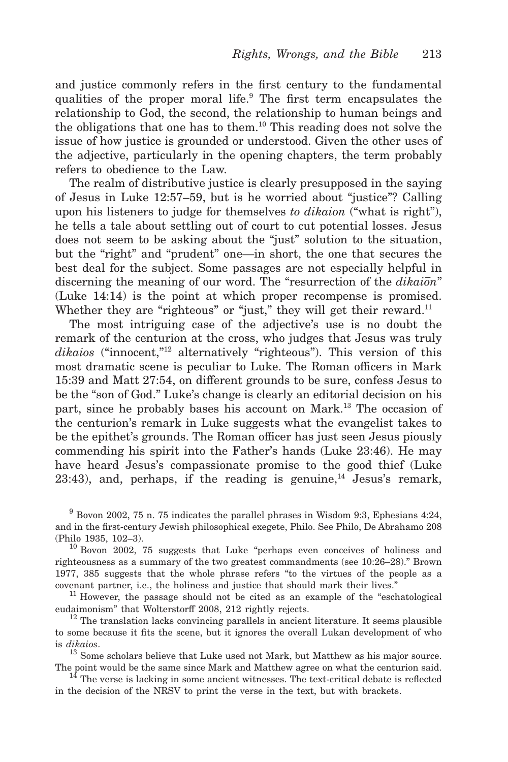and justice commonly refers in the first century to the fundamental qualities of the proper moral life.9 The first term encapsulates the relationship to God, the second, the relationship to human beings and the obligations that one has to them.10 This reading does not solve the issue of how justice is grounded or understood. Given the other uses of the adjective, particularly in the opening chapters, the term probably refers to obedience to the Law.

The realm of distributive justice is clearly presupposed in the saying of Jesus in Luke 12:57–59, but is he worried about "justice"? Calling upon his listeners to judge for themselves *to dikaion* ("what is right"), he tells a tale about settling out of court to cut potential losses. Jesus does not seem to be asking about the "just" solution to the situation, but the "right" and "prudent" one—in short, the one that secures the best deal for the subject. Some passages are not especially helpful in discerning the meaning of our word. The "resurrection of the *dikaion*" (Luke 14:14) is the point at which proper recompense is promised. Whether they are "righteous" or "just," they will get their reward.<sup>11</sup>

The most intriguing case of the adjective's use is no doubt the remark of the centurion at the cross, who judges that Jesus was truly dikaios ("innocent,"<sup>12</sup> alternatively "righteous"). This version of this most dramatic scene is peculiar to Luke. The Roman officers in Mark 15:39 and Matt 27:54, on different grounds to be sure, confess Jesus to be the "son of God." Luke's change is clearly an editorial decision on his part, since he probably bases his account on Mark.<sup>13</sup> The occasion of the centurion's remark in Luke suggests what the evangelist takes to be the epithet's grounds. The Roman officer has just seen Jesus piously commending his spirit into the Father's hands (Luke 23:46). He may have heard Jesus's compassionate promise to the good thief (Luke  $23:43$ ), and, perhaps, if the reading is genuine,<sup>14</sup> Jesus's remark,

<sup>9</sup> Bovon 2002, 75 n. 75 indicates the parallel phrases in Wisdom 9:3, Ephesians 4:24, and in the first-century Jewish philosophical exegete, Philo. See Philo, De Abrahamo 208 (Philo 1935, 102–3).  $10^{10}$  Bovon 2002, 75 suggests that Luke "perhaps even conceives of holiness and

righteousness as a summary of the two greatest commandments (see 10:26–28)." Brown 1977, 385 suggests that the whole phrase refers "to the virtues of the people as a covenant partner, i.e., the holiness and justice that should mark their lives." <sup>11</sup> However, the passage should not be cited as an example of the "eschatological

eudaimonism" that Wolterstorff 2008, 212 rightly rejects.<br><sup>12</sup> The translation lacks convincing parallels in ancient literature. It seems plausible

to some because it fits the scene, but it ignores the overall Lukan development of who

is *dikaios*.<br><sup>13</sup> Some scholars believe that Luke used not Mark, but Matthew as his major source. The point would be the same since Mark and Matthew agree on what the centurion said. <sup>14</sup> The verse is lacking in some ancient witnesses. The text-critical debate is reflected

in the decision of the NRSV to print the verse in the text, but with brackets.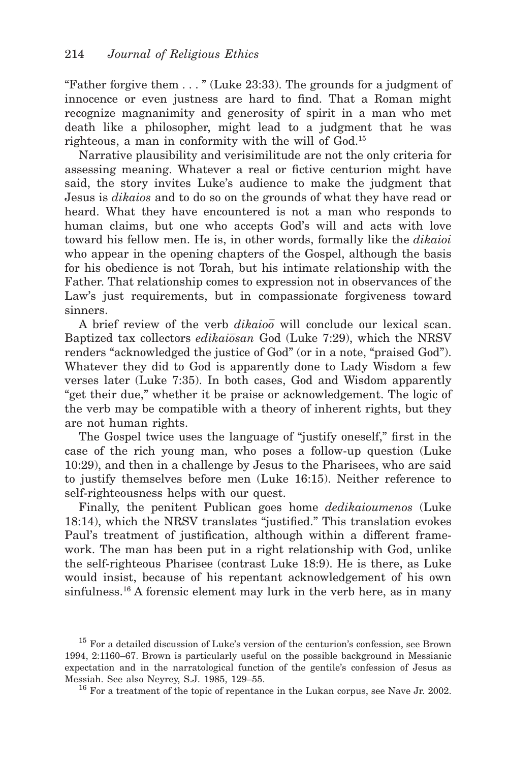"Father forgive them..." (Luke 23:33). The grounds for a judgment of innocence or even justness are hard to find. That a Roman might recognize magnanimity and generosity of spirit in a man who met death like a philosopher, might lead to a judgment that he was righteous, a man in conformity with the will of God.15

Narrative plausibility and verisimilitude are not the only criteria for assessing meaning. Whatever a real or fictive centurion might have said, the story invites Luke's audience to make the judgment that Jesus is *dikaios* and to do so on the grounds of what they have read or heard. What they have encountered is not a man who responds to human claims, but one who accepts God's will and acts with love toward his fellow men. He is, in other words, formally like the *dikaioi* who appear in the opening chapters of the Gospel, although the basis for his obedience is not Torah, but his intimate relationship with the Father. That relationship comes to expression not in observances of the Law's just requirements, but in compassionate forgiveness toward sinners.

A brief review of the verb *dikaioo¯* will conclude our lexical scan. Baptized tax collectors *edikaiosan* God (Luke 7:29), which the NRSV renders "acknowledged the justice of God" (or in a note, "praised God"). Whatever they did to God is apparently done to Lady Wisdom a few verses later (Luke 7:35). In both cases, God and Wisdom apparently "get their due," whether it be praise or acknowledgement. The logic of the verb may be compatible with a theory of inherent rights, but they are not human rights.

The Gospel twice uses the language of "justify oneself," first in the case of the rich young man, who poses a follow-up question (Luke 10:29), and then in a challenge by Jesus to the Pharisees, who are said to justify themselves before men (Luke 16:15). Neither reference to self-righteousness helps with our quest.

Finally, the penitent Publican goes home *dedikaioumenos* (Luke 18:14), which the NRSV translates "justified." This translation evokes Paul's treatment of justification, although within a different framework. The man has been put in a right relationship with God, unlike the self-righteous Pharisee (contrast Luke 18:9). He is there, as Luke would insist, because of his repentant acknowledgement of his own sinfulness.<sup>16</sup> A forensic element may lurk in the verb here, as in many

<sup>&</sup>lt;sup>15</sup> For a detailed discussion of Luke's version of the centurion's confession, see Brown 1994, 2:1160–67. Brown is particularly useful on the possible background in Messianic expectation and in the narratological function of the gentile's confession of Jesus as Messiah. See also Neyrey, S.J. 1985, 129–55. 16 For a treatment of the topic of repentance in the Lukan corpus, see Nave Jr. 2002.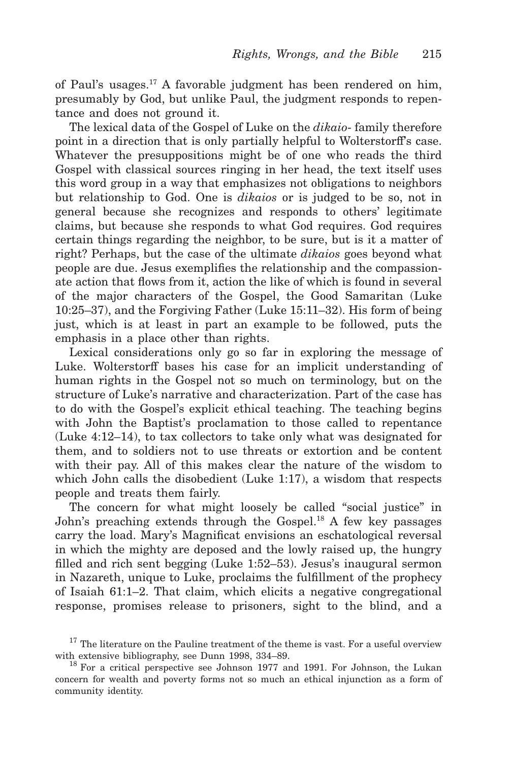of Paul's usages.17 A favorable judgment has been rendered on him, presumably by God, but unlike Paul, the judgment responds to repentance and does not ground it.

The lexical data of the Gospel of Luke on the *dikaio*- family therefore point in a direction that is only partially helpful to Wolterstorff's case. Whatever the presuppositions might be of one who reads the third Gospel with classical sources ringing in her head, the text itself uses this word group in a way that emphasizes not obligations to neighbors but relationship to God. One is *dikaios* or is judged to be so, not in general because she recognizes and responds to others' legitimate claims, but because she responds to what God requires. God requires certain things regarding the neighbor, to be sure, but is it a matter of right? Perhaps, but the case of the ultimate *dikaios* goes beyond what people are due. Jesus exemplifies the relationship and the compassionate action that flows from it, action the like of which is found in several of the major characters of the Gospel, the Good Samaritan (Luke 10:25–37), and the Forgiving Father (Luke 15:11–32). His form of being just, which is at least in part an example to be followed, puts the emphasis in a place other than rights.

Lexical considerations only go so far in exploring the message of Luke. Wolterstorff bases his case for an implicit understanding of human rights in the Gospel not so much on terminology, but on the structure of Luke's narrative and characterization. Part of the case has to do with the Gospel's explicit ethical teaching. The teaching begins with John the Baptist's proclamation to those called to repentance (Luke 4:12–14), to tax collectors to take only what was designated for them, and to soldiers not to use threats or extortion and be content with their pay. All of this makes clear the nature of the wisdom to which John calls the disobedient (Luke 1:17), a wisdom that respects people and treats them fairly.

The concern for what might loosely be called "social justice" in John's preaching extends through the Gospel.<sup>18</sup> A few key passages carry the load. Mary's Magnificat envisions an eschatological reversal in which the mighty are deposed and the lowly raised up, the hungry filled and rich sent begging (Luke 1:52–53). Jesus's inaugural sermon in Nazareth, unique to Luke, proclaims the fulfillment of the prophecy of Isaiah 61:1–2. That claim, which elicits a negative congregational response, promises release to prisoners, sight to the blind, and a

 $17$  The literature on the Pauline treatment of the theme is vast. For a useful overview with extensive bibliography, see Dunn 1998, 334–89.<br><sup>18</sup> For a critical perspective see Johnson 1977 and 1991. For Johnson, the Lukan

concern for wealth and poverty forms not so much an ethical injunction as a form of community identity.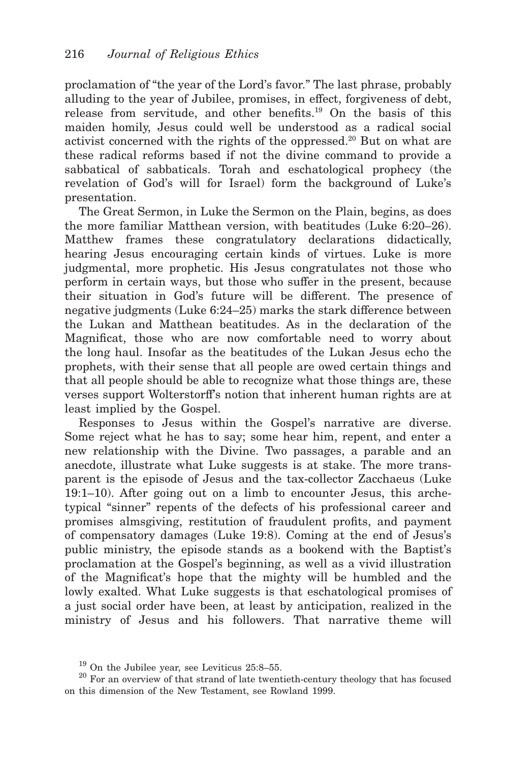proclamation of "the year of the Lord's favor." The last phrase, probably alluding to the year of Jubilee, promises, in effect, forgiveness of debt, release from servitude, and other benefits.19 On the basis of this maiden homily, Jesus could well be understood as a radical social activist concerned with the rights of the oppressed.<sup>20</sup> But on what are these radical reforms based if not the divine command to provide a sabbatical of sabbaticals. Torah and eschatological prophecy (the revelation of God's will for Israel) form the background of Luke's presentation.

The Great Sermon, in Luke the Sermon on the Plain, begins, as does the more familiar Matthean version, with beatitudes (Luke 6:20–26). Matthew frames these congratulatory declarations didactically, hearing Jesus encouraging certain kinds of virtues. Luke is more judgmental, more prophetic. His Jesus congratulates not those who perform in certain ways, but those who suffer in the present, because their situation in God's future will be different. The presence of negative judgments (Luke 6:24–25) marks the stark difference between the Lukan and Matthean beatitudes. As in the declaration of the Magnificat, those who are now comfortable need to worry about the long haul. Insofar as the beatitudes of the Lukan Jesus echo the prophets, with their sense that all people are owed certain things and that all people should be able to recognize what those things are, these verses support Wolterstorff's notion that inherent human rights are at least implied by the Gospel.

Responses to Jesus within the Gospel's narrative are diverse. Some reject what he has to say; some hear him, repent, and enter a new relationship with the Divine. Two passages, a parable and an anecdote, illustrate what Luke suggests is at stake. The more transparent is the episode of Jesus and the tax-collector Zacchaeus (Luke 19:1–10). After going out on a limb to encounter Jesus, this archetypical "sinner" repents of the defects of his professional career and promises almsgiving, restitution of fraudulent profits, and payment of compensatory damages (Luke 19:8). Coming at the end of Jesus's public ministry, the episode stands as a bookend with the Baptist's proclamation at the Gospel's beginning, as well as a vivid illustration of the Magnificat's hope that the mighty will be humbled and the lowly exalted. What Luke suggests is that eschatological promises of a just social order have been, at least by anticipation, realized in the ministry of Jesus and his followers. That narrative theme will

<sup>&</sup>lt;sup>19</sup> On the Jubilee year, see Leviticus 25:8–55.<br><sup>20</sup> For an overview of that strand of late twentieth-century theology that has focused on this dimension of the New Testament, see Rowland 1999.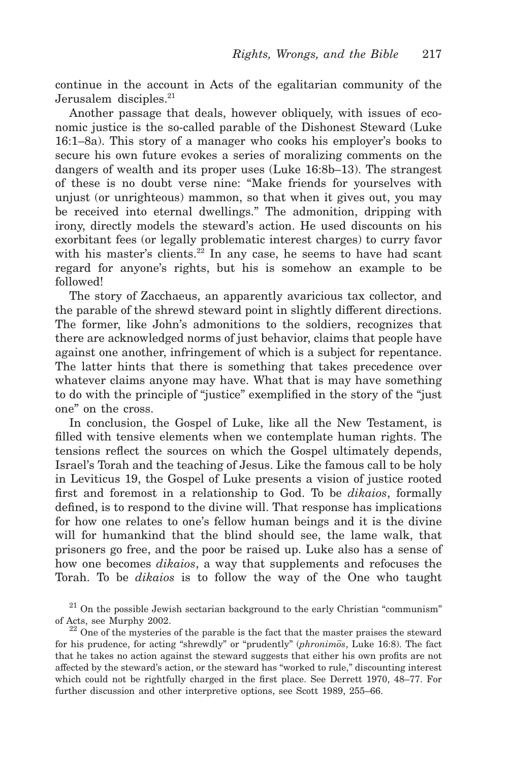continue in the account in Acts of the egalitarian community of the Jerusalem disciples.<sup>21</sup>

Another passage that deals, however obliquely, with issues of economic justice is the so-called parable of the Dishonest Steward (Luke 16:1–8a). This story of a manager who cooks his employer's books to secure his own future evokes a series of moralizing comments on the dangers of wealth and its proper uses (Luke 16:8b–13). The strangest of these is no doubt verse nine: "Make friends for yourselves with unjust (or unrighteous) mammon, so that when it gives out, you may be received into eternal dwellings." The admonition, dripping with irony, directly models the steward's action. He used discounts on his exorbitant fees (or legally problematic interest charges) to curry favor with his master's clients. $22$  In any case, he seems to have had scant regard for anyone's rights, but his is somehow an example to be followed!

The story of Zacchaeus, an apparently avaricious tax collector, and the parable of the shrewd steward point in slightly different directions. The former, like John's admonitions to the soldiers, recognizes that there are acknowledged norms of just behavior, claims that people have against one another, infringement of which is a subject for repentance. The latter hints that there is something that takes precedence over whatever claims anyone may have. What that is may have something to do with the principle of "justice" exemplified in the story of the "just one" on the cross.

In conclusion, the Gospel of Luke, like all the New Testament, is filled with tensive elements when we contemplate human rights. The tensions reflect the sources on which the Gospel ultimately depends, Israel's Torah and the teaching of Jesus. Like the famous call to be holy in Leviticus 19, the Gospel of Luke presents a vision of justice rooted first and foremost in a relationship to God. To be *dikaios*, formally defined, is to respond to the divine will. That response has implications for how one relates to one's fellow human beings and it is the divine will for humankind that the blind should see, the lame walk, that prisoners go free, and the poor be raised up. Luke also has a sense of how one becomes *dikaios*, a way that supplements and refocuses the Torah. To be *dikaios* is to follow the way of the One who taught

 $21$  On the possible Jewish sectarian background to the early Christian "communism" of Acts, see Murphy 2002.<br><sup>22</sup> One of the mysteries of the parable is the fact that the master praises the steward

for his prudence, for acting "shrewdly" or "prudently" (*phronimos*, Luke 16:8). The fact that he takes no action against the steward suggests that either his own profits are not affected by the steward's action, or the steward has "worked to rule," discounting interest which could not be rightfully charged in the first place. See Derrett 1970, 48–77. For further discussion and other interpretive options, see Scott 1989, 255–66.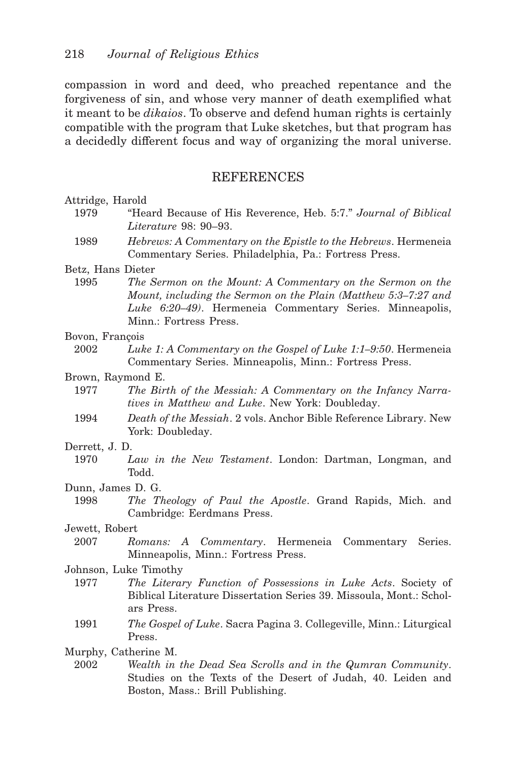compassion in word and deed, who preached repentance and the forgiveness of sin, and whose very manner of death exemplified what it meant to be *dikaios*. To observe and defend human rights is certainly compatible with the program that Luke sketches, but that program has a decidedly different focus and way of organizing the moral universe.

## **REFERENCES**

| Attridge, Harold  |                                                                                                                                                                                                                    |
|-------------------|--------------------------------------------------------------------------------------------------------------------------------------------------------------------------------------------------------------------|
| 1979              | "Heard Because of His Reverence, Heb. 5:7." Journal of Biblical<br>Literature 98: 90–93.                                                                                                                           |
| 1989              | Hebrews: A Commentary on the Epistle to the Hebrews. Hermeneia<br>Commentary Series. Philadelphia, Pa.: Fortress Press.                                                                                            |
| Betz, Hans Dieter |                                                                                                                                                                                                                    |
| 1995              | The Sermon on the Mount: A Commentary on the Sermon on the<br>Mount, including the Sermon on the Plain (Matthew 5:3-7:27 and<br>Luke 6:20-49). Hermeneia Commentary Series. Minneapolis,<br>Minn.: Fortress Press. |
| Bovon, François   |                                                                                                                                                                                                                    |
| 2002              | Luke 1: A Commentary on the Gospel of Luke 1:1-9:50. Hermeneia<br>Commentary Series. Minneapolis, Minn.: Fortress Press.                                                                                           |
| Brown, Raymond E. |                                                                                                                                                                                                                    |
| 1977              | The Birth of the Messiah: A Commentary on the Infancy Narra-<br>tives in Matthew and Luke. New York: Doubleday.                                                                                                    |
| 1994              | Death of the Messiah. 2 vols. Anchor Bible Reference Library. New<br>York: Doubleday.                                                                                                                              |
| Derrett, J. D.    |                                                                                                                                                                                                                    |
| 1970              | Law in the New Testament. London: Dartman, Longman, and<br>Todd.                                                                                                                                                   |
| Dunn, James D. G. |                                                                                                                                                                                                                    |
| 1998              | The Theology of Paul the Apostle. Grand Rapids, Mich. and<br>Cambridge: Eerdmans Press.                                                                                                                            |
| Jewett, Robert    |                                                                                                                                                                                                                    |
| 2007              | A Commentary. Hermeneia Commentary Series.<br>Romans:<br>Minneapolis, Minn.: Fortress Press.                                                                                                                       |
|                   | Johnson, Luke Timothy                                                                                                                                                                                              |
| 1977              | The Literary Function of Possessions in Luke Acts. Society of<br>Biblical Literature Dissertation Series 39. Missoula, Mont.: Schol-<br>ars Press.                                                                 |
| 1991              | The Gospel of Luke. Sacra Pagina 3. Collegeville, Minn.: Liturgical<br>Press.                                                                                                                                      |
|                   | Murphy, Catherine M.                                                                                                                                                                                               |
| 2002              | Wealth in the Dead Sea Scrolls and in the Qumran Community.<br>Studies on the Texts of the Desert of Judah, 40. Leiden and                                                                                         |

Boston, Mass.: Brill Publishing.